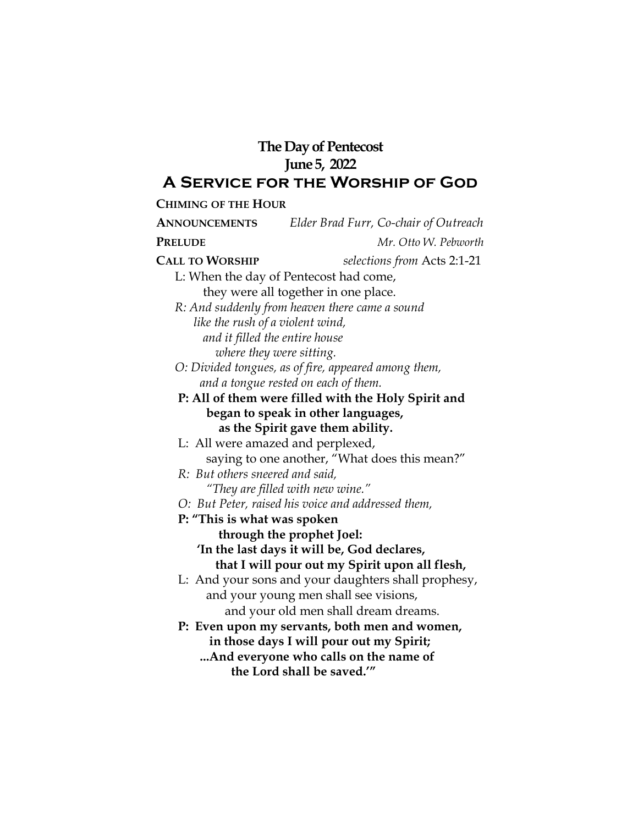## **The Day of Pentecost June 5, 2022 A Service for the Worship of God**

## **CHIMING OF THE HOUR ANNOUNCEMENTS** *Elder Brad Furr, Co-chair of Outreach* **PRELUDE** *Mr. Otto W. Pebworth* **CALL TO WORSHIP** *selections from* Acts 2:1-21 L: When the day of Pentecost had come, they were all together in one place. *R: And suddenly from heaven there came a sound like the rush of a violent wind, and it filled the entire house where they were sitting. O: Divided tongues, as of fire, appeared among them, and a tongue rested on each of them.*  **P: All of them were filled with the Holy Spirit and began to speak in other languages, as the Spirit gave them ability.** L: All were amazed and perplexed, saying to one another, "What does this mean?" *R: But others sneered and said, "They are filled with new wine." O: But Peter, raised his voice and addressed them,*  **P: "This is what was spoken through the prophet Joel: 'In the last days it will be, God declares, that I will pour out my Spirit upon all flesh,** L: And your sons and your daughters shall prophesy, and your young men shall see visions, and your old men shall dream dreams.  **P: Even upon my servants, both men and women, in those days I will pour out my Spirit; ...And everyone who calls on the name of the Lord shall be saved.'"**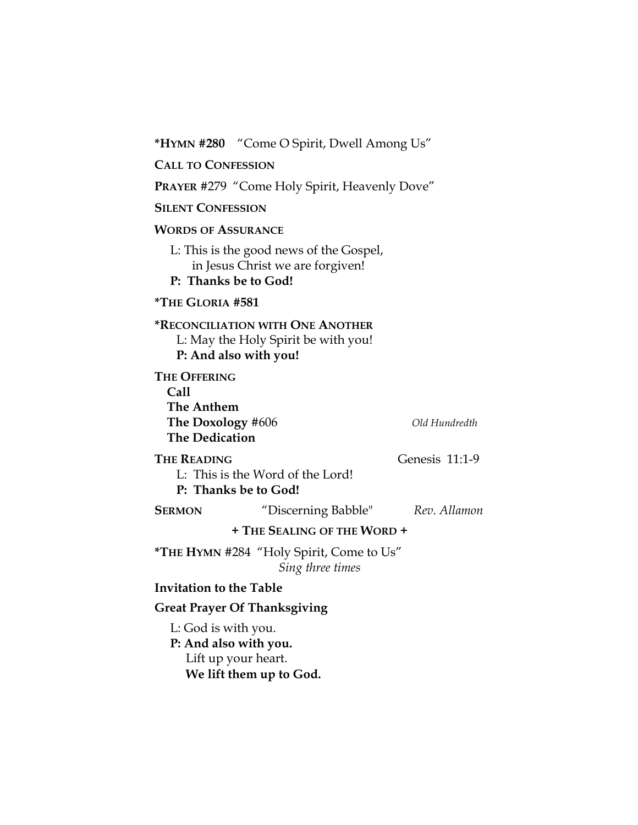**\*HYMN #280** "Come O Spirit, Dwell Among Us" **CALL TO CONFESSION PRAYER** #279 "Come Holy Spirit, Heavenly Dove" **SILENT CONFESSION WORDS OF ASSURANCE** L: This is the good news of the Gospel, in Jesus Christ we are forgiven! **P: Thanks be to God! \*THE GLORIA #581 \*RECONCILIATION WITH ONE ANOTHER** L: May the Holy Spirit be with you!  **P: And also with you! THE OFFERING Call The Anthem The Doxology** #606 *Old Hundredth*  **The Dedication THE READING** Genesis 11:1-9 L: This is the Word of the Lord! **P: Thanks be to God! SERMON** "Discerning Babble" *Rev. Allamon* **+ THE SEALING OF THE WORD + \*THE HYMN** #284 "Holy Spirit, Come to Us" *Sing three times* **Invitation to the Table Great Prayer Of Thanksgiving** L: God is with you. **P: And also with you.** Lift up your heart. **We lift them up to God.**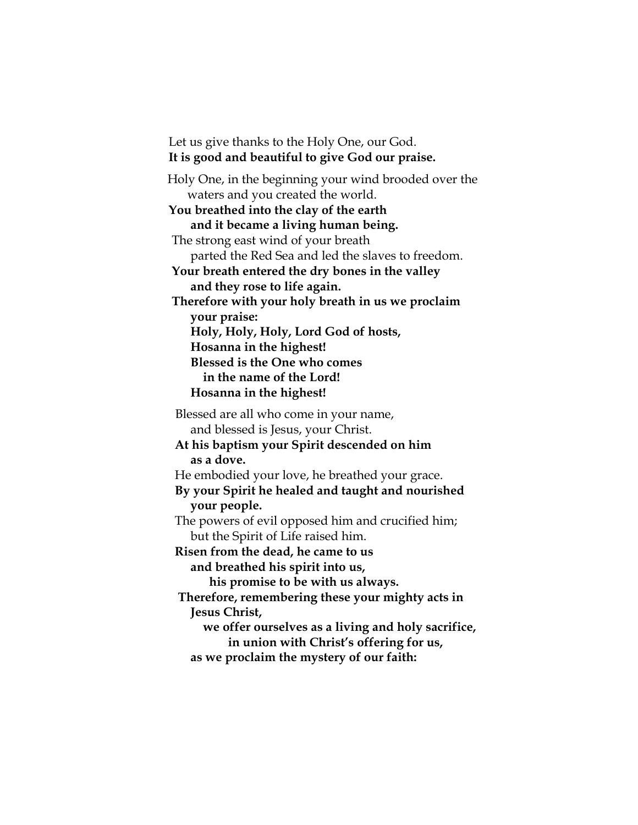Let us give thanks to the Holy One, our God. **It is good and beautiful to give God our praise.** Holy One, in the beginning your wind brooded over the waters and you created the world. **You breathed into the clay of the earth and it became a living human being.** The strong east wind of your breath parted the Red Sea and led the slaves to freedom. **Your breath entered the dry bones in the valley and they rose to life again. Therefore with your holy breath in us we proclaim your praise: Holy, Holy, Holy, Lord God of hosts, Hosanna in the highest! Blessed is the One who comes in the name of the Lord! Hosanna in the highest!** Blessed are all who come in your name, and blessed is Jesus, your Christ. **At his baptism your Spirit descended on him as a dove.** He embodied your love, he breathed your grace. **By your Spirit he healed and taught and nourished your people.** The powers of evil opposed him and crucified him; but the Spirit of Life raised him. **Risen from the dead, he came to us and breathed his spirit into us, his promise to be with us always. Therefore, remembering these your mighty acts in Jesus Christ, we offer ourselves as a living and holy sacrifice, in union with Christ's offering for us, as we proclaim the mystery of our faith:**